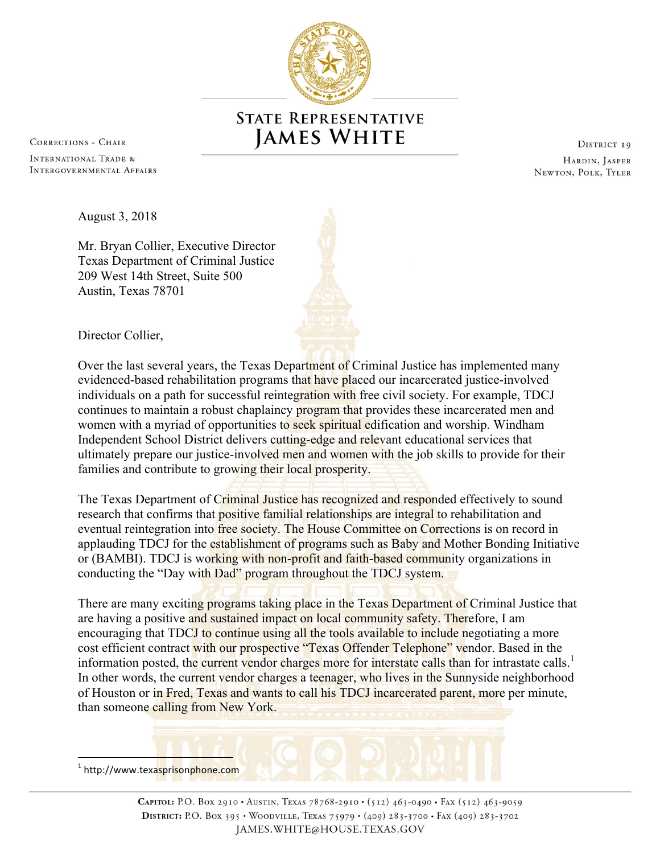

## **STATE REPRESENTATIVE JAMES WHITE**

**CORRECTIONS - CHAIR** 

INTERNATIONAL TRADE & INTERGOVERNMENTAL AFFAIRS

DISTRICT 19 HARDIN, JASPER NEWTON, POLK, TYLER

August 3, 2018

Mr. Bryan Collier, Executive Director Texas Department of Criminal Justice 209 West 14th Street, Suite 500 Austin, Texas 78701

Director Collier,

Over the last several years, the Texas Department of Criminal Justice has implemented many evidenced-based rehabilitation programs that have placed our incarcerated justice-involved individuals on a path for successful reintegration with free civil society. For example, TDCJ continues to maintain a robust chaplaincy program that provides these incarcerated men and women with a myriad of opportunities to seek spiritual edification and worship. Windham Independent School District delivers cutting-edge and relevant educational services that ultimately prepare our justice-involved men and women with the job skills to provide for their families and contribute to growing their local prosperity.

The Texas Department of Criminal Justice has recognized and responded effectively to sound research that confirms that positive familial relationships are integral to rehabilitation and eventual reintegration into free society. The House Committee on Corrections is on record in applauding TDCJ for the establishment of programs such as Baby and Mother Bonding Initiative or (BAMBI). TDCJ is working with non-profit and faith-based community organizations in conducting the "Day with Dad" program throughout the TDCJ system.

There are many exciting programs taking place in the Texas Department of Criminal Justice that are having a positive and sustained impact on local community safety. Therefore, I am encouraging that TDCJ to continue using all the tools available to include negotiating a more cost efficient contract with our prospective "Texas Offender Telephone" vendor. Based in the information posted, the current vendor charges more for interstate calls than for intrastate calls.<sup>1</sup> In other words, the current vendor charges a teenager, who lives in the Sunnyside neighborhood of Houston or in Fred, Texas and wants to call his TDCJ incarcerated parent, more per minute, than someone calling from New York.

 <sup>1</sup> http://www.texasprisonphone.com

> CAPITOL: P.O. BOX 2910 · AUSTIN, TEXAS 78768-2910 · (512) 463-0490 · FAX (512) 463-9059 DISTRICT: P.O. BOX 395 . WOODVILLE, TEXAS 75979 . (409) 283-3700 . FAX (409) 283-3702 JAMES.WHITE@HOUSE.TEXAS.GOV